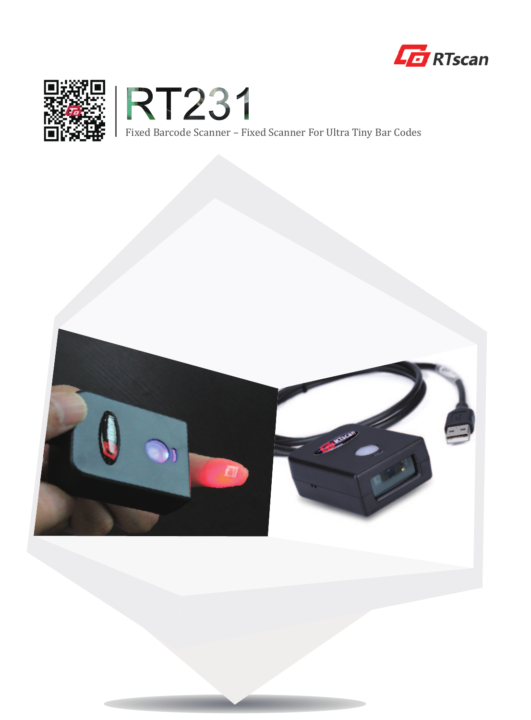





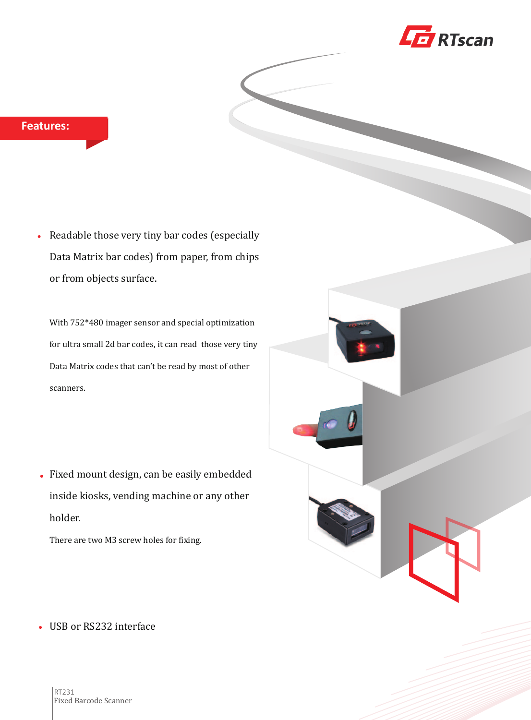

Readable those very tiny bar codes (especially Data Matrix bar codes) from paper, from chips or from objects surface.

With 752\*480 imager sensor and special optimization for ultra small 2d bar codes, it can read those very tiny Data Matrix codes that can't be read by most of other scanners.

Fixed mount design, can be easily embedded inside kiosks, vending machine or any other holder.

There are two M3 screw holes for fixing.